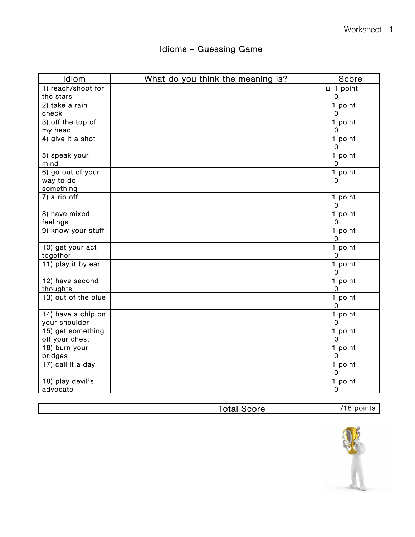| Idiom                           | What do you think the meaning is? | Score                  |
|---------------------------------|-----------------------------------|------------------------|
| 1) reach/shoot for              |                                   | $\Box$ 1 point         |
| the stars                       |                                   | $\mathbf 0$            |
| 2) take a rain                  |                                   | 1 point                |
| check                           |                                   | 0                      |
| 3) off the top of               |                                   | 1 point                |
| my head                         |                                   | $\mathbf 0$            |
| 4) give it a shot               |                                   | 1 point<br>$\mathbf 0$ |
| 5) speak your                   |                                   | 1 point                |
| mind                            |                                   | $\mathbf 0$            |
| 6) go out of your               |                                   | 1 point                |
| way to do                       |                                   | 0                      |
| something                       |                                   |                        |
| 7) a rip off                    |                                   | 1 point                |
|                                 |                                   | $\mathbf 0$            |
| 8) have mixed                   |                                   | 1 point                |
| feelings                        |                                   | $\mathbf 0$            |
| 9) know your stuff              |                                   | $1$ point              |
|                                 |                                   | $\overline{0}$         |
| 10) get your act                |                                   | 1 point                |
| together                        |                                   | $\mathbf 0$            |
| 11) play it by ear              |                                   | 1 point                |
|                                 |                                   | $\mathbf 0$            |
| 12) have second                 |                                   | 1 point                |
| thoughts                        |                                   | $\mathbf 0$            |
| 13) out of the blue             |                                   | 1 point                |
|                                 |                                   | $\mathbf 0$            |
| 14) have a chip on              |                                   | 1 point                |
| your shoulder                   |                                   | $\mathbf 0$            |
| $\overline{15}$ ) get something |                                   | 1 point                |
| off your chest                  |                                   | $\mathbf 0$            |
| 16) burn your                   |                                   | 1 point                |
| bridges                         |                                   | $\mathbf 0$            |
| 17) call it a day               |                                   | 1 point                |
|                                 |                                   | $\overline{0}$         |
| 18) play devil's                |                                   | 1 point                |
| advocate                        |                                   | $\mathbf 0$            |

Total Score /18 points